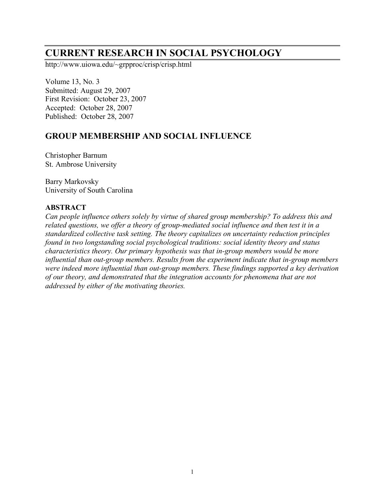# **CURRENT RESEARCH IN SOCIAL PSYCHOLOGY**

http://www.uiowa.edu/~grpproc/crisp/crisp.html

Volume 13, No. 3 Submitted: August 29, 2007 First Revision: October 23, 2007 Accepted: October 28, 2007 Published: October 28, 2007

# **GROUP MEMBERSHIP AND SOCIAL INFLUENCE**

Christopher Barnum St. Ambrose University

Barry Markovsky University of South Carolina

### **ABSTRACT**

*Can people influence others solely by virtue of shared group membership? To address this and related questions, we offer a theory of group-mediated social influence and then test it in a standardized collective task setting. The theory capitalizes on uncertainty reduction principles found in two longstanding social psychological traditions: social identity theory and status characteristics theory. Our primary hypothesis was that in-group members would be more influential than out-group members. Results from the experiment indicate that in-group members were indeed more influential than out-group members. These findings supported a key derivation of our theory, and demonstrated that the integration accounts for phenomena that are not addressed by either of the motivating theories.*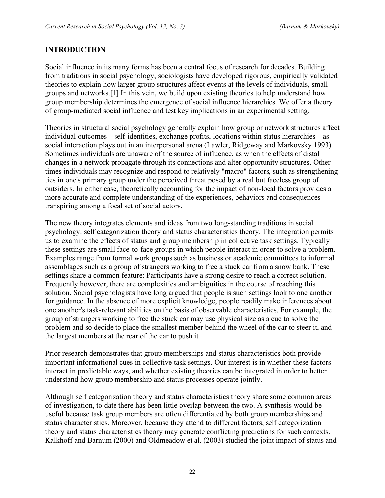### **INTRODUCTION**

Social influence in its many forms has been a central focus of research for decades. Building from traditions in social psychology, sociologists have developed rigorous, empirically validated theories to explain how larger group structures affect events at the levels of individuals, small groups and networks.[1] In this vein, we build upon existing theories to help understand how group membership determines the emergence of social influence hierarchies. We offer a theory of group-mediated social influence and test key implications in an experimental setting.

Theories in structural social psychology generally explain how group or network structures affect individual outcomes—self-identities, exchange profits, locations within status hierarchies—as social interaction plays out in an interpersonal arena (Lawler, Ridgeway and Markovsky 1993). Sometimes individuals are unaware of the source of influence, as when the effects of distal changes in a network propagate through its connections and alter opportunity structures. Other times individuals may recognize and respond to relatively "macro" factors, such as strengthening ties in one's primary group under the perceived threat posed by a real but faceless group of outsiders. In either case, theoretically accounting for the impact of non-local factors provides a more accurate and complete understanding of the experiences, behaviors and consequences transpiring among a focal set of social actors.

The new theory integrates elements and ideas from two long-standing traditions in social psychology: self categorization theory and status characteristics theory. The integration permits us to examine the effects of status and group membership in collective task settings. Typically these settings are small face-to-face groups in which people interact in order to solve a problem. Examples range from formal work groups such as business or academic committees to informal assemblages such as a group of strangers working to free a stuck car from a snow bank. These settings share a common feature: Participants have a strong desire to reach a correct solution. Frequently however, there are complexities and ambiguities in the course of reaching this solution. Social psychologists have long argued that people is such settings look to one another for guidance. In the absence of more explicit knowledge, people readily make inferences about one another's task-relevant abilities on the basis of observable characteristics. For example, the group of strangers working to free the stuck car may use physical size as a cue to solve the problem and so decide to place the smallest member behind the wheel of the car to steer it, and the largest members at the rear of the car to push it.

Prior research demonstrates that group memberships and status characteristics both provide important informational cues in collective task settings. Our interest is in whether these factors interact in predictable ways, and whether existing theories can be integrated in order to better understand how group membership and status processes operate jointly.

Although self categorization theory and status characteristics theory share some common areas of investigation, to date there has been little overlap between the two. A synthesis would be useful because task group members are often differentiated by both group memberships and status characteristics. Moreover, because they attend to different factors, self categorization theory and status characteristics theory may generate conflicting predictions for such contexts. Kalkhoff and Barnum (2000) and Oldmeadow et al. (2003) studied the joint impact of status and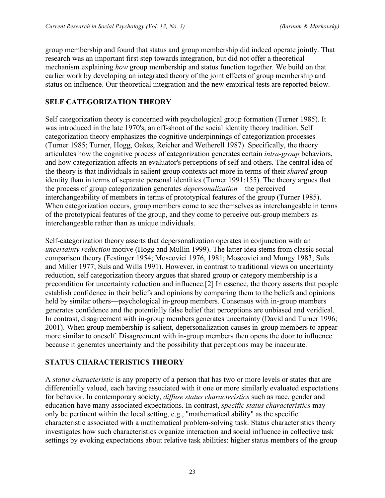group membership and found that status and group membership did indeed operate jointly. That research was an important first step towards integration, but did not offer a theoretical mechanism explaining *how* group membership and status function together. We build on that earlier work by developing an integrated theory of the joint effects of group membership and status on influence. Our theoretical integration and the new empirical tests are reported below.

## **SELF CATEGORIZATION THEORY**

Self categorization theory is concerned with psychological group formation (Turner 1985). It was introduced in the late 1970's, an off-shoot of the social identity theory tradition. Self categorization theory emphasizes the cognitive underpinnings of categorization processes (Turner 1985; Turner, Hogg, Oakes, Reicher and Wetherell 1987). Specifically, the theory articulates how the cognitive process of categorization generates certain *intra*-*group* behaviors, and how categorization affects an evaluator's perceptions of self and others. The central idea of the theory is that individuals in salient group contexts act more in terms of their *shared* group identity than in terms of separate personal identities (Turner 1991:155). The theory argues that the process of group categorization generates *depersonalization*—the perceived interchangeability of members in terms of prototypical features of the group (Turner 1985). When categorization occurs, group members come to see themselves as interchangeable in terms of the prototypical features of the group, and they come to perceive out-group members as interchangeable rather than as unique individuals.

Self-categorization theory asserts that depersonalization operates in conjunction with an *uncertainty reduction* motive (Hogg and Mullin 1999). The latter idea stems from classic social comparison theory (Festinger 1954; Moscovici 1976, 1981; Moscovici and Mungy 1983; Suls and Miller 1977; Suls and Wills 1991). However, in contrast to traditional views on uncertainty reduction, self categorization theory argues that shared group or category membership is a precondition for uncertainty reduction and influence.[2] In essence, the theory asserts that people establish confidence in their beliefs and opinions by comparing them to the beliefs and opinions held by similar others—psychological in-group members. Consensus with in-group members generates confidence and the potentially false belief that perceptions are unbiased and veridical. In contrast, disagreement with in-group members generates uncertainty (David and Turner 1996; 2001). When group membership is salient, depersonalization causes in-group members to appear more similar to oneself. Disagreement with in-group members then opens the door to influence because it generates uncertainty and the possibility that perceptions may be inaccurate.

### **STATUS CHARACTERISTICS THEORY**

A *status characteristic* is any property of a person that has two or more levels or states that are differentially valued, each having associated with it one or more similarly evaluated expectations for behavior. In contemporary society, *diffuse status characteristics* such as race, gender and education have many associated expectations. In contrast, *specific status characteristics* may only be pertinent within the local setting, e.g., "mathematical ability" as the specific characteristic associated with a mathematical problem-solving task. Status characteristics theory investigates how such characteristics organize interaction and social influence in collective task settings by evoking expectations about relative task abilities: higher status members of the group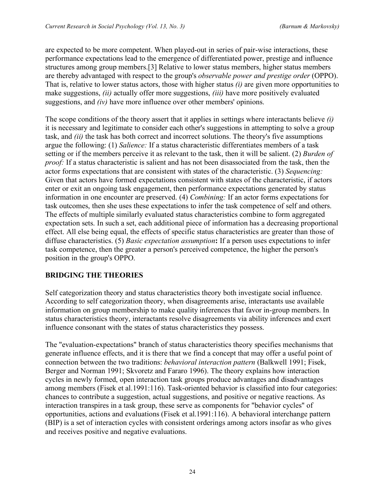are expected to be more competent. When played-out in series of pair-wise interactions, these performance expectations lead to the emergence of differentiated power, prestige and influence structures among group members.[3] Relative to lower status members, higher status members are thereby advantaged with respect to the group's *observable power and prestige order* (OPPO). That is, relative to lower status actors, those with higher status *(i)* are given more opportunities to make suggestions, *(ii)* actually offer more suggestions, *(iii)* have more positively evaluated suggestions, and *(iv)* have more influence over other members' opinions.

The scope conditions of the theory assert that it applies in settings where interactants believe *(i)* it is necessary and legitimate to consider each other's suggestions in attempting to solve a group task, and *(ii)* the task has both correct and incorrect solutions. The theory's five assumptions argue the following: (1) *Salience:* If a status characteristic differentiates members of a task setting or if the members perceive it as relevant to the task, then it will be salient. (2) *Burden of proof:* If a status characteristic is salient and has not been disassociated from the task, then the actor forms expectations that are consistent with states of the characteristic. (3) *Sequencing:* Given that actors have formed expectations consistent with states of the characteristic, if actors enter or exit an ongoing task engagement, then performance expectations generated by status information in one encounter are preserved. (4) *Combining:* If an actor forms expectations for task outcomes, then she uses these expectations to infer the task competence of self and others. The effects of multiple similarly evaluated status characteristics combine to form aggregated expectation sets. In such a set, each additional piece of information has a decreasing proportional effect. All else being equal, the effects of specific status characteristics are greater than those of diffuse characteristics. (5) *Basic expectation assumption***:** If a person uses expectations to infer task competence, then the greater a person's perceived competence, the higher the person's position in the group's OPPO.

# **BRIDGING THE THEORIES**

Self categorization theory and status characteristics theory both investigate social influence. According to self categorization theory, when disagreements arise, interactants use available information on group membership to make quality inferences that favor in-group members. In status characteristics theory, interactants resolve disagreements via ability inferences and exert influence consonant with the states of status characteristics they possess.

The "evaluation-expectations" branch of status characteristics theory specifies mechanisms that generate influence effects, and it is there that we find a concept that may offer a useful point of connection between the two traditions: *behavioral interaction pattern* (Balkwell 1991; Fisek, Berger and Norman 1991; Skvoretz and Fararo 1996). The theory explains how interaction cycles in newly formed, open interaction task groups produce advantages and disadvantages among members (Fisek et al.1991:116). Task-oriented behavior is classified into four categories: chances to contribute a suggestion, actual suggestions, and positive or negative reactions. As interaction transpires in a task group, these serve as components for "behavior cycles" of opportunities, actions and evaluations (Fisek et al.1991:116). A behavioral interchange pattern (BIP) is a set of interaction cycles with consistent orderings among actors insofar as who gives and receives positive and negative evaluations.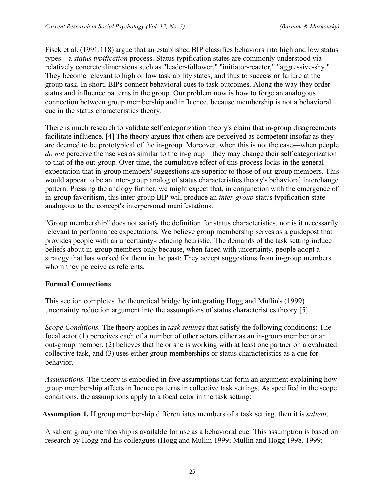Fisek et al. (1991:118) argue that an established BIP classifies behaviors into high and low status types—a *status typification* process. Status typification states are commonly understood via relatively concrete dimensions such as "leader-follower," "initiator-reactor," "aggressive-shy." They become relevant to high or low task ability states, and thus to success or failure at the group task. In short, BIPs connect behavioral cues to task outcomes. Along the way they order status and influence patterns in the group. Our problem now is how to forge an analogous connection between group membership and influence, because membership is not a behavioral cue in the status characteristics theory.

There is much research to validate self categorization theory's claim that in-group disagreements facilitate influence. [4] The theory argues that others are perceived as competent insofar as they are deemed to be prototypical of the in-group. Moreover, when this is not the case—when people *do not* perceive themselves as similar to the in-group—they may change their self categorization to that of the out-group. Over time, the cumulative effect of this process locks-in the general expectation that in-group members' suggestions are superior to those of out-group members. This would appear to be an inter-group analog of status characteristics theory's behavioral interchange pattern. Pressing the analogy further, we might expect that, in conjunction with the emergence of in-group favoritism, this inter-group BIP will produce an *inter-group* status typification state analogous to the concept's interpersonal manifestations.

"Group membership" does not satisfy the definition for status characteristics, nor is it necessarily relevant to performance expectations. We believe group membership serves as a guidepost that provides people with an uncertainty-reducing heuristic. The demands of the task setting induce beliefs about in-group members only because, when faced with uncertainty, people adopt a strategy that has worked for them in the past: They accept suggestions from in-group members whom they perceive as referents.

### **Formal Connections**

This section completes the theoretical bridge by integrating Hogg and Mullin's (1999) uncertainty reduction argument into the assumptions of status characteristics theory.[5]

*Scope Conditions.* The theory applies in *task settings* that satisfy the following conditions: The focal actor (1) perceives each of a number of other actors either as an in-group member or an out-group member, (2) believes that he or she is working with at least one partner on a evaluated collective task, and (3) uses either group memberships or status characteristics as a cue for behavior.

*Assumptions.* The theory is embodied in five assumptions that form an argument explaining how group membership affects influence patterns in collective task settings. As specified in the scope conditions, the assumptions apply to a focal actor in the task setting:

**Assumption 1.** If group membership differentiates members of a task setting, then it is *salient*.

A salient group membership is available for use as a behavioral cue. This assumption is based on research by Hogg and his colleagues (Hogg and Mullin 1999; Mullin and Hogg 1998, 1999;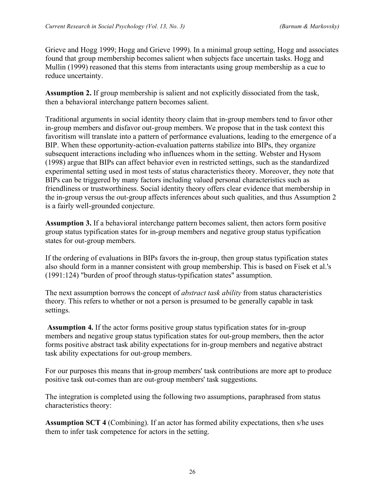Grieve and Hogg 1999; Hogg and Grieve 1999). In a minimal group setting, Hogg and associates found that group membership becomes salient when subjects face uncertain tasks. Hogg and Mullin (1999) reasoned that this stems from interactants using group membership as a cue to reduce uncertainty.

**Assumption 2.** If group membership is salient and not explicitly dissociated from the task, then a behavioral interchange pattern becomes salient.

Traditional arguments in social identity theory claim that in-group members tend to favor other in-group members and disfavor out-group members. We propose that in the task context this favoritism will translate into a pattern of performance evaluations, leading to the emergence of a BIP. When these opportunity-action-evaluation patterns stabilize into BIPs, they organize subsequent interactions including who influences whom in the setting. Webster and Hysom (1998) argue that BIPs can affect behavior even in restricted settings, such as the standardized experimental setting used in most tests of status characteristics theory. Moreover, they note that BIPs can be triggered by many factors including valued personal characteristics such as friendliness or trustworthiness. Social identity theory offers clear evidence that membership in the in-group versus the out-group affects inferences about such qualities, and thus Assumption 2 is a fairly well-grounded conjecture.

**Assumption 3.** If a behavioral interchange pattern becomes salient, then actors form positive group status typification states for in-group members and negative group status typification states for out-group members.

If the ordering of evaluations in BIPs favors the in-group, then group status typification states also should form in a manner consistent with group membership. This is based on Fisek et al.'s (1991:124) "burden of proof through status-typification states" assumption.

The next assumption borrows the concept of *abstract task ability* from status characteristics theory*.* This refers to whether or not a person is presumed to be generally capable in task settings.

**Assumption 4.** If the actor forms positive group status typification states for in-group members and negative group status typification states for out-group members, then the actor forms positive abstract task ability expectations for in-group members and negative abstract task ability expectations for out-group members.

For our purposes this means that in-group members' task contributions are more apt to produce positive task out-comes than are out-group members' task suggestions.

The integration is completed using the following two assumptions, paraphrased from status characteristics theory:

**Assumption SCT 4** (Combining). If an actor has formed ability expectations, then s/he uses them to infer task competence for actors in the setting.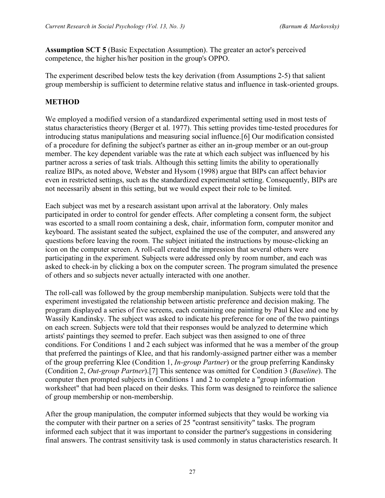**Assumption SCT 5** (Basic Expectation Assumption). The greater an actor's perceived competence, the higher his/her position in the group's OPPO.

The experiment described below tests the key derivation (from Assumptions 2-5) that salient group membership is sufficient to determine relative status and influence in task-oriented groups.

### **METHOD**

We employed a modified version of a standardized experimental setting used in most tests of status characteristics theory (Berger et al. 1977). This setting provides time-tested procedures for introducing status manipulations and measuring social influence.[6] Our modification consisted of a procedure for defining the subject's partner as either an in-group member or an out-group member. The key dependent variable was the rate at which each subject was influenced by his partner across a series of task trials. Although this setting limits the ability to operationally realize BIPs, as noted above, Webster and Hysom (1998) argue that BIPs can affect behavior even in restricted settings, such as the standardized experimental setting. Consequently, BIPs are not necessarily absent in this setting, but we would expect their role to be limited.

Each subject was met by a research assistant upon arrival at the laboratory. Only males participated in order to control for gender effects. After completing a consent form, the subject was escorted to a small room containing a desk, chair, information form, computer monitor and keyboard. The assistant seated the subject, explained the use of the computer, and answered any questions before leaving the room. The subject initiated the instructions by mouse-clicking an icon on the computer screen. A roll-call created the impression that several others were participating in the experiment. Subjects were addressed only by room number, and each was asked to check-in by clicking a box on the computer screen. The program simulated the presence of others and so subjects never actually interacted with one another.

The roll-call was followed by the group membership manipulation. Subjects were told that the experiment investigated the relationship between artistic preference and decision making. The program displayed a series of five screens, each containing one painting by Paul Klee and one by Wassily Kandinsky. The subject was asked to indicate his preference for one of the two paintings on each screen. Subjects were told that their responses would be analyzed to determine which artists' paintings they seemed to prefer. Each subject was then assigned to one of three conditions. For Conditions 1 and 2 each subject was informed that he was a member of the group that preferred the paintings of Klee, and that his randomly-assigned partner either was a member of the group preferring Klee (Condition 1, *In-group Partner*) or the group preferring Kandinsky (Condition 2, *Out-group Partner*).[7] This sentence was omitted for Condition 3 (*Baseline*). The computer then prompted subjects in Conditions 1 and 2 to complete a "group information worksheet" that had been placed on their desks. This form was designed to reinforce the salience of group membership or non-membership.

After the group manipulation, the computer informed subjects that they would be working via the computer with their partner on a series of 25 "contrast sensitivity" tasks. The program informed each subject that it was important to consider the partner's suggestions in considering final answers. The contrast sensitivity task is used commonly in status characteristics research. It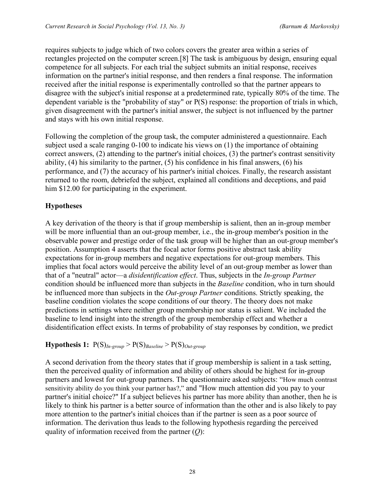requires subjects to judge which of two colors covers the greater area within a series of rectangles projected on the computer screen.[8] The task is ambiguous by design, ensuring equal competence for all subjects. For each trial the subject submits an initial response, receives information on the partner's initial response, and then renders a final response. The information received after the initial response is experimentally controlled so that the partner appears to disagree with the subject's initial response at a predetermined rate, typically 80% of the time. The dependent variable is the "probability of stay" or P(S) response: the proportion of trials in which, given disagreement with the partner's initial answer, the subject is not influenced by the partner and stays with his own initial response.

Following the completion of the group task, the computer administered a questionnaire. Each subject used a scale ranging 0-100 to indicate his views on (1) the importance of obtaining correct answers, (2) attending to the partner's initial choices, (3) the partner's contrast sensitivity ability, (4) his similarity to the partner, (5) his confidence in his final answers, (6) his performance, and (7) the accuracy of his partner's initial choices. Finally, the research assistant returned to the room, debriefed the subject, explained all conditions and deceptions, and paid him \$12.00 for participating in the experiment.

# **Hypotheses**

A key derivation of the theory is that if group membership is salient, then an in-group member will be more influential than an out-group member, i.e., the in-group member's position in the observable power and prestige order of the task group will be higher than an out-group member's position. Assumption 4 asserts that the focal actor forms positive abstract task ability expectations for in-group members and negative expectations for out-group members. This implies that focal actors would perceive the ability level of an out-group member as lower than that of a "neutral" actor—a *disidentification effect*. Thus, subjects in the *In-group Partner* condition should be influenced more than subjects in the *Baseline* condition, who in turn should be influenced more than subjects in the *Out-group Partner* conditions. Strictly speaking, the baseline condition violates the scope conditions of our theory. The theory does not make predictions in settings where neither group membership nor status is salient. We included the baseline to lend insight into the strength of the group membership effect and whether a disidentification effect exists. In terms of probability of stay responses by condition, we predict

### **Hypothesis 1:**  $P(S)_{In\text{-}group} > P(S)_{Baseline} > P(S)_{Out\text{-}group}$

A second derivation from the theory states that if group membership is salient in a task setting, then the perceived quality of information and ability of others should be highest for in-group partners and lowest for out-group partners. The questionnaire asked subjects: "How much contrast sensitivity ability do you think your partner has?," and "How much attention did you pay to your partner's initial choice?" If a subject believes his partner has more ability than another, then he is likely to think his partner is a better source of information than the other and is also likely to pay more attention to the partner's initial choices than if the partner is seen as a poor source of information. The derivation thus leads to the following hypothesis regarding the perceived quality of information received from the partner (*Q*):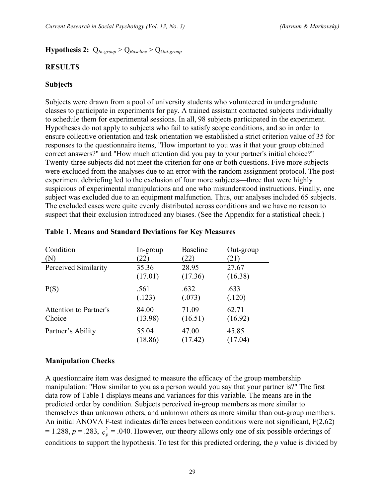### **Hypothesis 2:** Q*In-group* > Q*Baseline* > Q*Out-group*

#### **RESULTS**

#### **Subjects**

Subjects were drawn from a pool of university students who volunteered in undergraduate classes to participate in experiments for pay. A trained assistant contacted subjects individually to schedule them for experimental sessions. In all, 98 subjects participated in the experiment. Hypotheses do not apply to subjects who fail to satisfy scope conditions, and so in order to ensure collective orientation and task orientation we established a strict criterion value of 35 for responses to the questionnaire items, "How important to you was it that your group obtained correct answers?" and "How much attention did you pay to your partner's initial choice?" Twenty-three subjects did not meet the criterion for one or both questions. Five more subjects were excluded from the analyses due to an error with the random assignment protocol. The postexperiment debriefing led to the exclusion of four more subjects—three that were highly suspicious of experimental manipulations and one who misunderstood instructions. Finally, one subject was excluded due to an equipment malfunction. Thus, our analyses included 65 subjects. The excluded cases were quite evenly distributed across conditions and we have no reason to suspect that their exclusion introduced any biases. (See the Appendix for a statistical check.)

| Condition              | In-group | <b>Baseline</b> | Out-group |
|------------------------|----------|-----------------|-----------|
| (N)                    | 22)      | (22)            | (21)      |
| Perceived Similarity   | 35.36    | 28.95           | 27.67     |
|                        | (17.01)  | (17.36)         | (16.38)   |
| P(S)                   | .561     | .632            | .633      |
|                        | (.123)   | (.073)          | (.120)    |
| Attention to Partner's | 84.00    | 71.09           | 62.71     |
| Choice                 | (13.98)  | (16.51)         | (16.92)   |
| Partner's Ability      | 55.04    | 47.00           | 45.85     |
|                        | (18.86)  | (17.42)         | (17.04)   |

#### **Table 1. Means and Standard Deviations for Key Measures**

#### **Manipulation Checks**

A questionnaire item was designed to measure the efficacy of the group membership manipulation: "How similar to you as a person would you say that your partner is?" The first data row of Table 1 displays means and variances for this variable. The means are in the predicted order by condition. Subjects perceived in-group members as more similar to themselves than unknown others, and unknown others as more similar than out-group members. An initial ANOVA F-test indicates differences between conditions were not significant, F(2,62)  $= 1.288$ ,  $p = .283$ ,  $\varsigma_p^2 = .040$ . However, our theory allows only one of six possible orderings of conditions to support the hypothesis. To test for this predicted ordering, the *p* value is divided by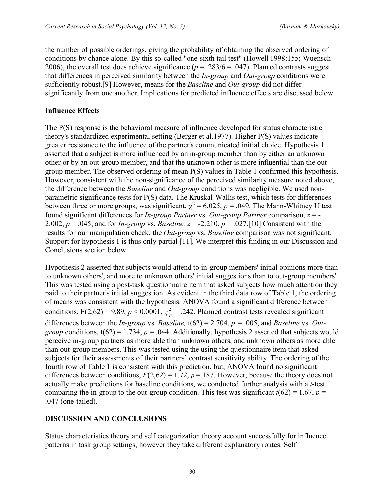the number of possible orderings, giving the probability of obtaining the observed ordering of conditions by chance alone. By this so-called "one-sixth tail test" (Howell 1998:155; Wuensch 2006), the overall test does achieve significance ( $p = .283/6 = .047$ ). Planned contrasts suggest that differences in perceived similarity between the *In-group* and *Out-group* conditions were sufficiently robust.[9] However, means for the *Baseline* and *Out-group* did not differ significantly from one another. Implications for predicted influence effects are discussed below.

### **Influence Effects**

The P(S) response is the behavioral measure of influence developed for status characteristic theory's standardized experimental setting (Berger et al.1977). Higher P(S) values indicate greater resistance to the influence of the partner's communicated initial choice. Hypothesis 1 asserted that a subject is more influenced by an in-group member than by either an unknown other or by an out-group member, and that the unknown other is more influential than the outgroup member. The observed ordering of mean P(S) values in Table 1 confirmed this hypothesis. However, consistent with the non-significance of the perceived similarity measure noted above, the difference between the *Baseline* and *Out-group* conditions was negligible. We used nonparametric significance tests for P(S) data. The Kruskal-Wallis test, which tests for differences between three or more groups, was significant,  $\chi^2 = 6.025$ ,  $p = .049$ . The Mann-Whitney U test found significant differences for *In-group Partner* vs. *Out-group Partner* comparison, *z* = - 2.002,  $p = 0.045$ , and for *In-group* vs. *Baseline*,  $z = -2.210$ ,  $p = 0.027$ .[10] Consistent with the results for our manipulation check, the *Out-group* vs. *Baseline* comparison was not significant. Support for hypothesis 1 is thus only partial [11]. We interpret this finding in our Discussion and Conclusions section below.

Hypothesis 2 asserted that subjects would attend to in-group members' initial opinions more than to unknown others', and more to unknown others' initial suggestions than to out-group members'. This was tested using a post-task questionnaire item that asked subjects how much attention they paid to their partner's initial suggestion. As evident in the third data row of Table 1, the ordering of means was consistent with the hypothesis. ANOVA found a significant difference between conditions,  $F(2,62) = 9.89$ ,  $p < 0.0001$ ,  $c_p^2 = .242$ . Planned contrast tests revealed significant differences between the *In-group* vs. *Baseline,* t(62) = 2.704, *p =* .005, and *Baseline* vs. *Outgroup* conditions,  $t(62) = 1.734$ ,  $p = 0.044$ . Additionally, hypothesis 2 asserted that subjects would perceive in-group partners as more able than unknown others, and unknown others as more able than out-group members. This was tested using the using the questionnaire item that asked subjects for their assessments of their partners' contrast sensitivity ability. The ordering of the fourth row of Table 1 is consistent with this prediction, but, ANOVA found no significant differences between conditions,  $F(2,62) = 1.72$ ,  $p = 187$ . However, because the theory does not actually make predictions for baseline conditions, we conducted further analysis with a *t*-test comparing the in-group to the out-group condition. This test was significant  $t(62) = 1.67$ ,  $p =$ .047 (one-tailed).

### **DISCUSSION AND CONCLUSIONS**

Status characteristics theory and self categorization theory account successfully for influence patterns in task group settings, however they take different explanatory routes. Self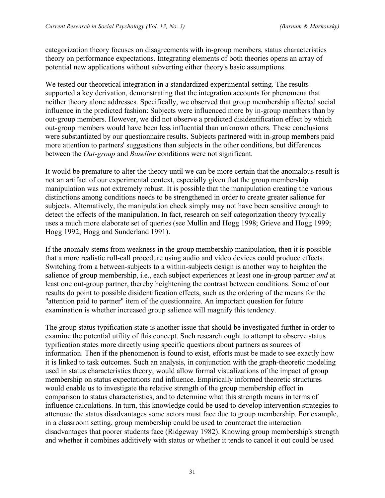categorization theory focuses on disagreements with in-group members, status characteristics theory on performance expectations. Integrating elements of both theories opens an array of potential new applications without subverting either theory's basic assumptions.

We tested our theoretical integration in a standardized experimental setting. The results supported a key derivation, demonstrating that the integration accounts for phenomena that neither theory alone addresses. Specifically, we observed that group membership affected social influence in the predicted fashion: Subjects were influenced more by in-group members than by out-group members. However, we did not observe a predicted disidentification effect by which out-group members would have been less influential than unknown others. These conclusions were substantiated by our questionnaire results. Subjects partnered with in-group members paid more attention to partners' suggestions than subjects in the other conditions, but differences between the *Out-group* and *Baseline* conditions were not significant.

It would be premature to alter the theory until we can be more certain that the anomalous result is not an artifact of our experimental context, especially given that the group membership manipulation was not extremely robust. It is possible that the manipulation creating the various distinctions among conditions needs to be strengthened in order to create greater salience for subjects. Alternatively, the manipulation check simply may not have been sensitive enough to detect the effects of the manipulation. In fact, research on self categorization theory typically uses a much more elaborate set of queries (see Mullin and Hogg 1998; Grieve and Hogg 1999; Hogg 1992; Hogg and Sunderland 1991).

If the anomaly stems from weakness in the group membership manipulation, then it is possible that a more realistic roll-call procedure using audio and video devices could produce effects. Switching from a between-subjects to a within-subjects design is another way to heighten the salience of group membership, i.e., each subject experiences at least one in-group partner *and* at least one out-group partner, thereby heightening the contrast between conditions. Some of our results do point to possible disidentification effects, such as the ordering of the means for the "attention paid to partner" item of the questionnaire. An important question for future examination is whether increased group salience will magnify this tendency.

The group status typification state is another issue that should be investigated further in order to examine the potential utility of this concept. Such research ought to attempt to observe status typification states more directly using specific questions about partners as sources of information. Then if the phenomenon is found to exist, efforts must be made to see exactly how it is linked to task outcomes. Such an analysis, in conjunction with the graph-theoretic modeling used in status characteristics theory, would allow formal visualizations of the impact of group membership on status expectations and influence. Empirically informed theoretic structures would enable us to investigate the relative strength of the group membership effect in comparison to status characteristics, and to determine what this strength means in terms of influence calculations. In turn, this knowledge could be used to develop intervention strategies to attenuate the status disadvantages some actors must face due to group membership. For example, in a classroom setting, group membership could be used to counteract the interaction disadvantages that poorer students face (Ridgeway 1982). Knowing group membership's strength and whether it combines additively with status or whether it tends to cancel it out could be used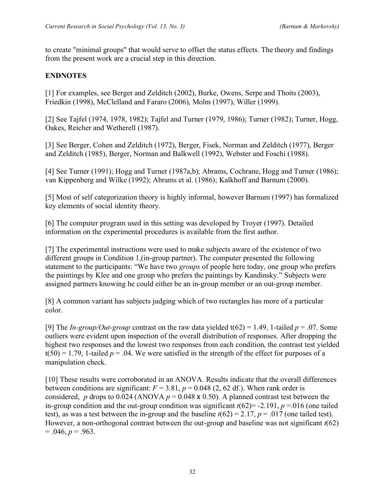to create "minimal groups" that would serve to offset the status effects. The theory and findings from the present work are a crucial step in this direction.

# **ENDNOTES**

[1] For examples, see Berger and Zelditch (2002), Burke, Owens, Serpe and Thoits (2003), Friedkin (1998), McClelland and Fararo (2006), Molm (1997), Willer (1999).

[2] See Tajfel (1974, 1978, 1982); Tajfel and Turner (1979, 1986); Turner (1982); Turner, Hogg, Oakes, Reicher and Wetherell (1987).

[3] See Berger, Cohen and Zelditch (1972), Berger, Fisek, Norman and Zelditch (1977), Berger and Zelditch (1985), Berger, Norman and Balkwell (1992), Webster and Foschi (1988).

[4] See Turner (1991); Hogg and Turner (1987a,b); Abrams, Cochrane, Hogg and Turner (1986); van Kippenberg and Wilke (1992); Abrams et al. (1986); Kalkhoff and Barnum (2000).

[5] Most of self categorization theory is highly informal, however Barnum (1997) has formalized key elements of social identity theory.

[6] The computer program used in this setting was developed by Troyer (1997). Detailed information on the experimental procedures is available from the first author.

[7] The experimental instructions were used to make subjects aware of the existence of two different groups in Condition 1,(in-group partner). The computer presented the following statement to the participants: "We have two *groups* of people here today, one group who prefers the paintings by Klee and one group who prefers the paintings by Kandinsky." Subjects were assigned partners knowing he could either be an in-group member or an out-group member.

[8] A common variant has subjects judging which of two rectangles has more of a particular color.

[9] The *In-group/Out-group* contrast on the raw data yielded t(62) = 1.49, 1-tailed  $p = .07$ . Some outliers were evident upon inspection of the overall distribution of responses. After dropping the highest two responses and the lowest two responses from each condition, the contrast test yielded  $t(50) = 1.79$ , 1-tailed  $p = 0.04$ . We were satisfied in the strength of the effect for purposes of a manipulation check.

[10] These results were corroborated in an ANOVA. Results indicate that the overall differences between conditions are significant:  $F = 3.81$ ,  $p = 0.048$  (2, 62 df.). When rank order is considered, *p* drops to 0.024 (ANOVA  $p = 0.048 \times 0.50$ ). A planned contrast test between the in-group condition and the out-group condition was significant  $t(62) = -2.191$ ,  $p = 0.016$  (one tailed test), as was a test between the in-group and the baseline  $t(62) = 2.17$ ,  $p = .017$  (one tailed test). However, a non-orthogonal contrast between the out-group and baseline was not significant *t*(62)  $= .046, p = .963.$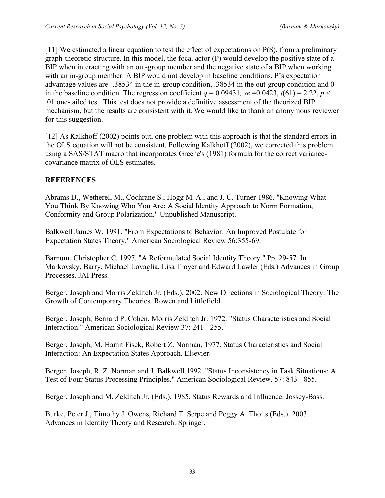[11] We estimated a linear equation to test the effect of expectations on P(S), from a preliminary graph-theoretic structure. In this model, the focal actor (P) would develop the positive state of a BIP when interacting with an out-group member and the negative state of a BIP when working with an in-group member. A BIP would not develop in baseline conditions. P's expectation advantage values are -.38534 in the in-group condition, .38534 in the out-group condition and 0 in the baseline condition. The regression coefficient  $q = 0.09431$ ,  $se = 0.0423$ ,  $t(61) = 2.22$ ,  $p <$ .01 one-tailed test. This test does not provide a definitive assessment of the theorized BIP mechanism, but the results are consistent with it. We would like to thank an anonymous reviewer for this suggestion.

[12] As Kalkhoff (2002) points out, one problem with this approach is that the standard errors in the OLS equation will not be consistent. Following Kalkhoff (2002), we corrected this problem using a SAS/STAT macro that incorporates Greene's (1981) formula for the correct variancecovariance matrix of OLS estimates.

### **REFERENCES**

Abrams D., Wetherell M., Cochrane S., Hogg M. A., and J. C. Turner 1986. "Knowing What You Think By Knowing Who You Are: A Social Identity Approach to Norm Formation, Conformity and Group Polarization." Unpublished Manuscript.

Balkwell James W. 1991. "From Expectations to Behavior: An Improved Postulate for Expectation States Theory." American Sociological Review 56:355-69.

Barnum, Christopher C. 1997. "A Reformulated Social Identity Theory." Pp. 29-57. In Markovsky, Barry, Michael Lovaglia, Lisa Troyer and Edward Lawler (Eds.) Advances in Group Processes. JAI Press.

Berger, Joseph and Morris Zelditch Jr. (Eds.). 2002. New Directions in Sociological Theory: The Growth of Contemporary Theories. Rowen and Littlefield.

Berger, Joseph, Bernard P. Cohen, Morris Zelditch Jr. 1972. "Status Characteristics and Social Interaction." American Sociological Review 37: 241 - 255.

Berger, Joseph, M. Hamit Fisek, Robert Z. Norman, 1977. Status Characteristics and Social Interaction: An Expectation States Approach. Elsevier.

Berger, Joseph, R. Z. Norman and J. Balkwell 1992. "Status Inconsistency in Task Situations: A Test of Four Status Processing Principles." American Sociological Review. 57: 843 - 855.

Berger, Joseph and M. Zelditch Jr. (Eds.). 1985. Status Rewards and Influence. Jossey-Bass.

Burke, Peter J., Timothy J. Owens, Richard T. Serpe and Peggy A. Thoits (Eds.). 2003. Advances in Identity Theory and Research. Springer.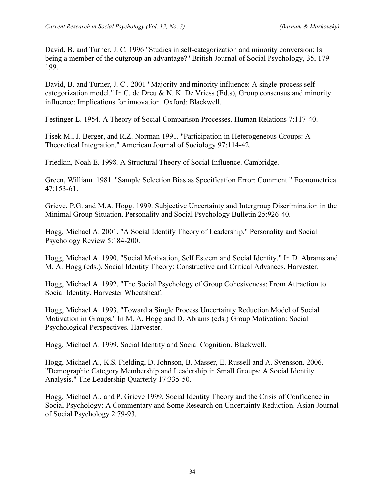David, B. and Turner, J. C. 1996 "Studies in self-categorization and minority conversion: Is being a member of the outgroup an advantage?" British Journal of Social Psychology, 35, 179- 199.

David, B. and Turner, J. C . 2001 "Majority and minority influence: A single-process selfcategorization model." In C. de Dreu & N. K. De Vriess (Ed.s), Group consensus and minority influence: Implications for innovation. Oxford: Blackwell.

Festinger L. 1954. A Theory of Social Comparison Processes. Human Relations 7:117-40.

Fisek M., J. Berger, and R.Z. Norman 1991. "Participation in Heterogeneous Groups: A Theoretical Integration." American Journal of Sociology 97:114-42.

Friedkin, Noah E. 1998. A Structural Theory of Social Influence. Cambridge.

Green, William. 1981. "Sample Selection Bias as Specification Error: Comment." Econometrica 47:153-61.

Grieve, P.G. and M.A. Hogg. 1999. Subjective Uncertainty and Intergroup Discrimination in the Minimal Group Situation. Personality and Social Psychology Bulletin 25:926-40.

Hogg, Michael A. 2001. "A Social Identify Theory of Leadership." Personality and Social Psychology Review 5:184-200.

Hogg, Michael A. 1990. "Social Motivation, Self Esteem and Social Identity." In D. Abrams and M. A. Hogg (eds.), Social Identity Theory: Constructive and Critical Advances. Harvester.

Hogg, Michael A. 1992. "The Social Psychology of Group Cohesiveness: From Attraction to Social Identity. Harvester Wheatsheaf.

Hogg, Michael A. 1993. "Toward a Single Process Uncertainty Reduction Model of Social Motivation in Groups." In M. A. Hogg and D. Abrams (eds.) Group Motivation: Social Psychological Perspectives. Harvester.

Hogg, Michael A. 1999. Social Identity and Social Cognition. Blackwell.

Hogg, Michael A., K.S. Fielding, D. Johnson, B. Masser, E. Russell and A. Svensson. 2006. "Demographic Category Membership and Leadership in Small Groups: A Social Identity Analysis." The Leadership Quarterly 17:335-50.

Hogg, Michael A., and P. Grieve 1999. Social Identity Theory and the Crisis of Confidence in Social Psychology: A Commentary and Some Research on Uncertainty Reduction. Asian Journal of Social Psychology 2:79-93.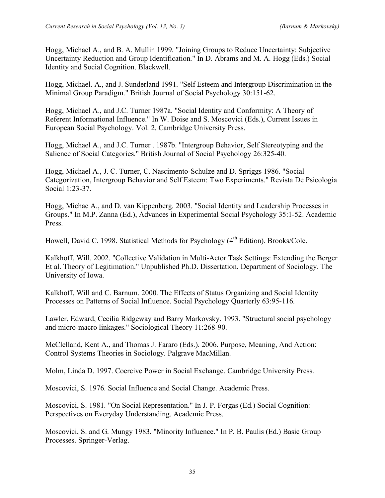Hogg, Michael A., and B. A. Mullin 1999. "Joining Groups to Reduce Uncertainty: Subjective Uncertainty Reduction and Group Identification." In D. Abrams and M. A. Hogg (Eds.) Social Identity and Social Cognition. Blackwell.

Hogg, Michael. A., and J. Sunderland 1991. "Self Esteem and Intergroup Discrimination in the Minimal Group Paradigm." British Journal of Social Psychology 30:151-62.

Hogg, Michael A., and J.C. Turner 1987a. "Social Identity and Conformity: A Theory of Referent Informational Influence." In W. Doise and S. Moscovici (Eds.), Current Issues in European Social Psychology. Vol. 2. Cambridge University Press.

Hogg, Michael A., and J.C. Turner . 1987b. "Intergroup Behavior, Self Stereotyping and the Salience of Social Categories." British Journal of Social Psychology 26:325-40.

Hogg, Michael A., J. C. Turner, C. Nascimento-Schulze and D. Spriggs 1986. "Social Categorization, Intergroup Behavior and Self Esteem: Two Experiments." Revista De Psicologia Social 1:23-37.

Hogg, Michae A., and D. van Kippenberg. 2003. "Social Identity and Leadership Processes in Groups." In M.P. Zanna (Ed.), Advances in Experimental Social Psychology 35:1-52. Academic Press.

Howell, David C. 1998. Statistical Methods for Psychology (4<sup>th</sup> Edition). Brooks/Cole.

Kalkhoff, Will. 2002. "Collective Validation in Multi-Actor Task Settings: Extending the Berger Et al. Theory of Legitimation." Unpublished Ph.D. Dissertation. Department of Sociology. The University of Iowa.

Kalkhoff, Will and C. Barnum. 2000. The Effects of Status Organizing and Social Identity Processes on Patterns of Social Influence. Social Psychology Quarterly 63:95-116.

Lawler, Edward, Cecilia Ridgeway and Barry Markovsky. 1993. "Structural social psychology and micro-macro linkages." Sociological Theory 11:268-90.

McClelland, Kent A., and Thomas J. Fararo (Eds.). 2006. Purpose, Meaning, And Action: Control Systems Theories in Sociology. Palgrave MacMillan.

Molm, Linda D. 1997. Coercive Power in Social Exchange. Cambridge University Press.

Moscovici, S. 1976. Social Influence and Social Change. Academic Press.

Moscovici, S. 1981. "On Social Representation." In J. P. Forgas (Ed.) Social Cognition: Perspectives on Everyday Understanding. Academic Press.

Moscovici, S. and G. Mungy 1983. "Minority Influence." In P. B. Paulis (Ed.) Basic Group Processes. Springer-Verlag.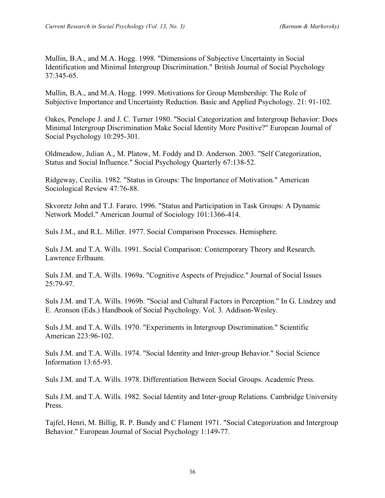Mullin, B.A., and M.A. Hogg. 1998. "Dimensions of Subjective Uncertainty in Social Identification and Minimal Intergroup Discrimination." British Journal of Social Psychology 37:345-65.

Mullin, B.A., and M.A. Hogg. 1999. Motivations for Group Membership: The Role of Subjective Importance and Uncertainty Reduction. Basic and Applied Psychology. 21: 91-102.

Oakes, Penelope J. and J. C. Turner 1980. "Social Categorization and Intergroup Behavior: Does Minimal Intergroup Discrimination Make Social Identity More Positive?" European Journal of Social Psychology 10:295-301.

Oldmeadow, Julian A., M. Platow, M. Foddy and D. Anderson. 2003. "Self Categorization, Status and Social Influence." Social Psychology Quarterly 67:138-52.

Ridgeway, Cecilia. 1982. "Status in Groups: The Importance of Motivation." American Sociological Review 47:76-88.

Skvoretz John and T.J. Fararo. 1996. "Status and Participation in Task Groups: A Dynamic Network Model." American Journal of Sociology 101:1366-414.

Suls J.M., and R.L. Miller. 1977. Social Comparison Processes. Hemisphere.

Suls J.M. and T.A. Wills. 1991. Social Comparison: Contemporary Theory and Research. Lawrence Erlbaum.

Suls J.M. and T.A. Wills. 1969a. "Cognitive Aspects of Prejudice." Journal of Social Issues 25:79-97.

Suls J.M. and T.A. Wills. 1969b. "Social and Cultural Factors in Perception." In G. Lindzey and E. Aronson (Eds.) Handbook of Social Psychology. Vol. 3. Addison-Wesley.

Suls J.M. and T.A. Wills. 1970. "Experiments in Intergroup Discrimination." Scientific American 223:96-102.

Suls J.M. and T.A. Wills. 1974. "Social Identity and Inter-group Behavior." Social Science Information 13:65-93.

Suls J.M. and T.A. Wills. 1978. Differentiation Between Social Groups. Academic Press.

Suls J.M. and T.A. Wills. 1982. Social Identity and Inter-group Relations. Cambridge University Press.

Tajfel, Henri, M. Billig, R. P. Bundy and C Flament 1971. "Social Categorization and Intergroup Behavior." European Journal of Social Psychology 1:149-77.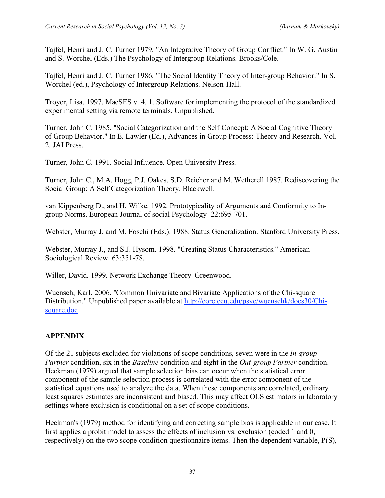Tajfel, Henri and J. C. Turner 1979. "An Integrative Theory of Group Conflict." In W. G. Austin and S. Worchel (Eds.) The Psychology of Intergroup Relations. Brooks/Cole.

Tajfel, Henri and J. C. Turner 1986. "The Social Identity Theory of Inter-group Behavior." In S. Worchel (ed.), Psychology of Intergroup Relations. Nelson-Hall.

Troyer, Lisa. 1997. MacSES v. 4. 1. Software for implementing the protocol of the standardized experimental setting via remote terminals. Unpublished.

Turner, John C. 1985. "Social Categorization and the Self Concept: A Social Cognitive Theory of Group Behavior." In E. Lawler (Ed.), Advances in Group Process: Theory and Research. Vol. 2. JAI Press.

Turner, John C. 1991. Social Influence. Open University Press.

Turner, John C., M.A. Hogg, P.J. Oakes, S.D. Reicher and M. Wetherell 1987. Rediscovering the Social Group: A Self Categorization Theory. Blackwell.

van Kippenberg D., and H. Wilke. 1992. Prototypicality of Arguments and Conformity to Ingroup Norms. European Journal of social Psychology 22:695-701.

Webster, Murray J. and M. Foschi (Eds.). 1988. Status Generalization. Stanford University Press.

Webster, Murray J., and S.J. Hysom. 1998. "Creating Status Characteristics." American Sociological Review 63:351-78.

Willer, David. 1999. Network Exchange Theory. Greenwood.

Wuensch, Karl. 2006. "Common Univariate and Bivariate Applications of the Chi-square Distribution." Unpublished paper available at http://core.ecu.edu/psyc/wuenschk/docs30/Chisquare.doc

### **APPENDIX**

Of the 21 subjects excluded for violations of scope conditions, seven were in the *In-group Partner* condition, six in the *Baseline* condition and eight in the *Out-group Partner* condition. Heckman (1979) argued that sample selection bias can occur when the statistical error component of the sample selection process is correlated with the error component of the statistical equations used to analyze the data. When these components are correlated, ordinary least squares estimates are inconsistent and biased. This may affect OLS estimators in laboratory settings where exclusion is conditional on a set of scope conditions.

Heckman's (1979) method for identifying and correcting sample bias is applicable in our case. It first applies a probit model to assess the effects of inclusion vs. exclusion (coded 1 and 0, respectively) on the two scope condition questionnaire items. Then the dependent variable, P(S),